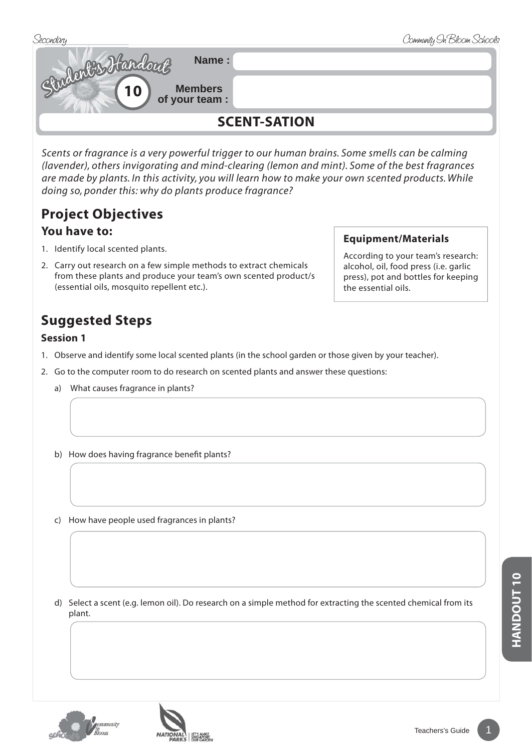



*Scents or fragrance is a very powerful trigger to our human brains. Some smells can be calming (lavender), others invigorating and mind-clearing (lemon and mint). Some of the best fragrances are made by plants. In this activity, you will learn how to make your own scented products. While doing so, ponder this: why do plants produce fragrance?*

# **Project Objectives**

#### **You have to:**

- 1. Identify local scented plants.
- 2. Carry out research on a few simple methods to extract chemicals from these plants and produce your team's own scented product/s (essential oils, mosquito repellent etc.).

## **Suggested Steps**

#### **Session 1**

- 1. Observe and identify some local scented plants (in the school garden or those given by your teacher).
- 2. Go to the computer room to do research on scented plants and answer these questions:
	- a) What causes fragrance in plants?
	- b) How does having fragrance benefit plants?
	- c) How have people used fragrances in plants?
	- d) Select a scent (e.g. lemon oil). Do research on a simple method for extracting the scented chemical from its plant.



#### **Equipment/Materials**

According to your team's research: alcohol, oil, food press (i.e. garlic press), pot and bottles for keeping the essential oils.